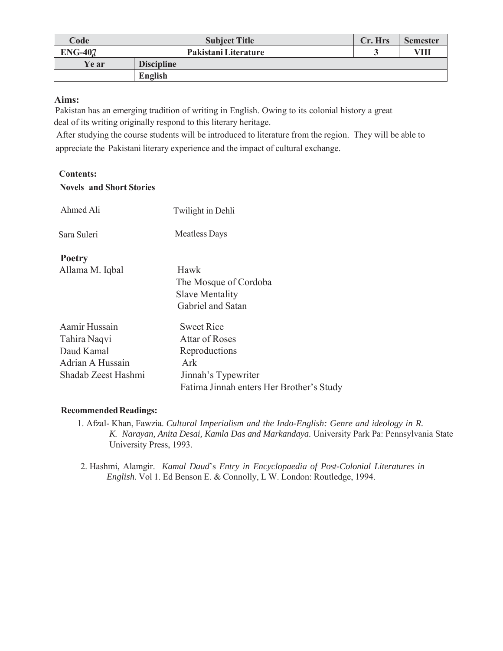| Code           | <b>Subject Title</b> | Cr. Hrs | <b>Semester</b> |
|----------------|----------------------|---------|-----------------|
| <b>ENG-407</b> | Pakistani Literature |         | VIII            |
| Ye ar          | <b>Discipline</b>    |         |                 |
|                | <b>English</b>       |         |                 |

## **Aims:**

Pakistan has an emerging tradition of writing in English. Owing to its colonial history a great deal of its writing originally respond to this literary heritage.

 After studying the course students will be introduced to literature from the region. They will be able to appreciate the Pakistani literary experience and the impact of cultural exchange.

## **Contents: Novels and Short Stories**  Ahmed Ali Twilight in Dehli Sara Suleri Meatless Days **Poetry**  Allama M. Iqbal Hawk The Mosque of Cordoba Slave Mentality Gabriel and Satan Aamir Hussain Sweet Rice

| Aamir Hussain       | <b>Sweet Rice</b>                        |
|---------------------|------------------------------------------|
| Tahira Naqvi        | <b>Attar of Roses</b>                    |
| Daud Kamal          | Reproductions                            |
| Adrian A Hussain    | Ark                                      |
| Shadab Zeest Hashmi | Jinnah's Typewriter                      |
|                     | Fatima Jinnah enters Her Brother's Study |

## **Recommended Readings:**

- 1. Afzal- Khan, Fawzia. *Cultural Imperialism and the Indo-English: Genre and ideology in R. K. Narayan, Anita Desai, Kamla Das and Markandaya.* University Park Pa: Pennsylvania State University Press, 1993.
- 2. Hashmi, Alamgir. *Kamal Daud*'s *Entry in Encyclopaedia of Post-Colonial Literatures in English.* Vol 1. Ed Benson E. & Connolly, L W. London: Routledge, 1994.